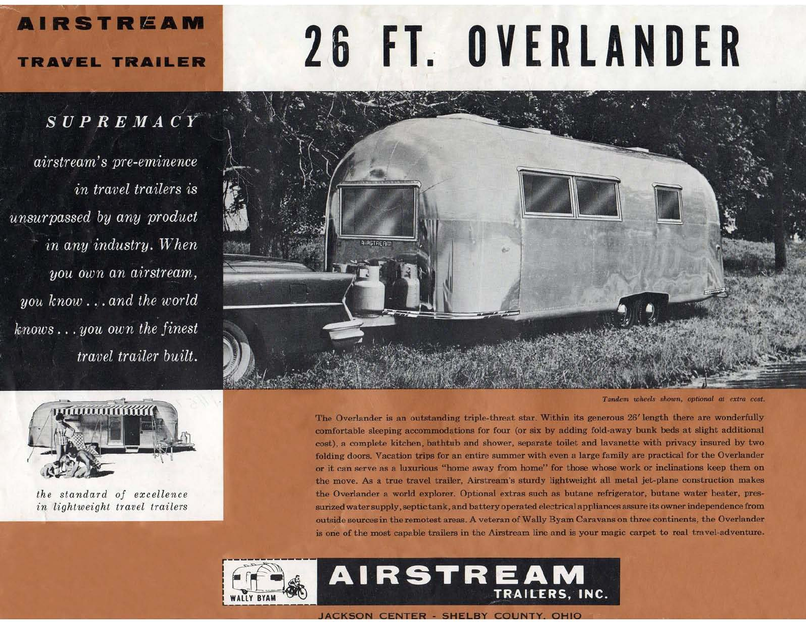# 26 FT. OVERLANDER



**AIRSTREAM** 

## **TRAVEL TRAILER**

# SUPREMACY

airstream's pre-eminence in travel trailers is unsurpassed by any product in any industry. When you own an airstream, you know...and the world  $knows...$  you own the finest travel trailer built.



the standard of excellence in lightweight travel trailers



Tandem wheels shown, optional at extra cost

The Overlander is an outstanding triple-threat star, Within its generous 26' length there are wonderfully comfortable sleeping accommodations for four (or six by adding fold-away bunk beds at slight additional cost), a complete kitchen, bathtub and shower, separate toilet and lavanette with privacy insured by two folding doors. Vacation trips for an entire summer with even a large family are practical for the Overlander or it can serve as a luxurious "home away from home" for those whose work or inclinations keep them on the move. As a true travel trailer, Airstream's sturdy lightweight all metal jet-plane construction makes the Overlander a world explorer. Optional extras such as butane refrigerator, butane water heater, pressurized water supply, septic tank, and battery operated electrical appliances assure its owner independence from outside sources in the remotest areas. A veteran of Wally Byam Caravans on three continents, the Overlander is one of the most capable trailers in the Airstream line and is your magic carpet to real travel-adventure.